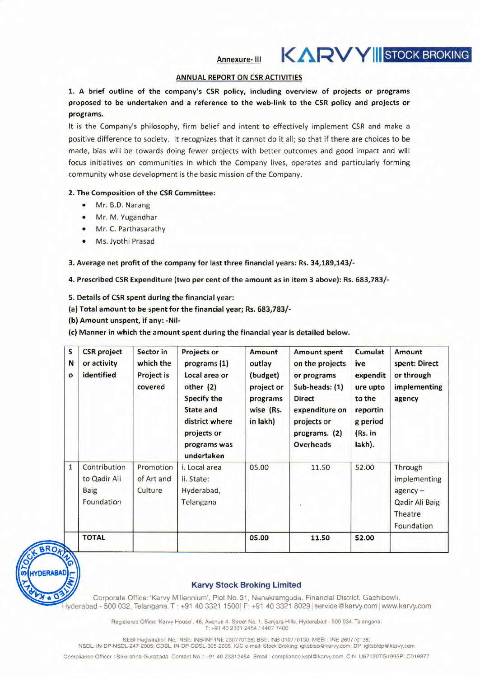# Annexure- III KARVYII STOCK BROKING

### ANNUAL REPORT ON CSR ACTIVITIES

1. A brief outline of the company's CSR policy, including overview of projects or programs proposed to be undertaken and a reference to the web-link to the CSR policy and projects or programs.

It is the Company's philosophy, firm belief and intent to effectively implement CSR and make a positive difference to society. It recognizes that it cannot do it all; so that if there are choices to be made, bias will be towards doing fewer projects with better outcomes and good impact and will focus initiatives on communities in which the Company lives, operates and particularly forming community whose development is the basic mission of the Company.

## 2. The Composition of the CSR Committee:

- Mr. B.D. Narang
- Mr. M. Yugandhar
- Mr. C. Parthasarathy
- Ms. Jyothi Prasad

3. Average net profit of the company for last three financial years: Rs. 34,189,143/-

4. Prescribed CSR Expenditure (two per cent of the amount as in item 3 above): Rs. 683,783/-

5. Details of CSR spent during the financial year:

- (a) Total amount to be spent for the financial year; Rs. 683,783/-
- (b) Amount unspent, if any: -Nil-

**BF** 

 $\frac{1}{2}$  $\omega$   $(HYDERABAD$  $\vert$ 

(c) Manner in which the amount spent during the financial year is detailed below.

| $\mathsf{s}$<br>N<br>$\mathbf{o}$ | <b>CSR</b> project<br>or activity<br>identified           | Sector in<br>which the<br><b>Project is</b><br>covered | <b>Projects or</b><br>programs (1)<br>Local area or<br>other $(2)$<br>Specify the<br>State and<br>district where<br>projects or<br>programs was<br>undertaken | Amount<br>outlay<br>(budget)<br>project or<br>programs<br>wise (Rs.<br>in lakh) | <b>Amount spent</b><br>on the projects<br>or programs<br>Sub-heads: (1)<br><b>Direct</b><br>expenditure on<br>projects or<br>programs. (2)<br><b>Overheads</b> | Cumulat<br>ive<br>expendit<br>ure upto<br>to the<br>reportin<br>g period<br>(Rs. in<br>lakh). | Amount<br>spent: Direct<br>or through<br>implementing<br>agency                  |
|-----------------------------------|-----------------------------------------------------------|--------------------------------------------------------|---------------------------------------------------------------------------------------------------------------------------------------------------------------|---------------------------------------------------------------------------------|----------------------------------------------------------------------------------------------------------------------------------------------------------------|-----------------------------------------------------------------------------------------------|----------------------------------------------------------------------------------|
| $\mathbf 1$                       | Contribution<br>to Qadir Ali<br><b>Baig</b><br>Foundation | Promotion<br>of Art and<br>Culture                     | i. Local area<br>ii. State:<br>Hyderabad,<br>Telangana                                                                                                        | 05.00                                                                           | 11.50                                                                                                                                                          | 52.00                                                                                         | Through<br>implementing<br>$agency -$<br>Qadir Ali Baig<br>Theatre<br>Foundation |
|                                   | <b>TOTAL</b>                                              |                                                        |                                                                                                                                                               | 05.00                                                                           | 11.50                                                                                                                                                          | 52.00                                                                                         |                                                                                  |

#### Karvy Stock Broking Limited

PHYDERABAD Corporate Office: 'Karvy Millennium', Plot No. 31, Nanakramguda, Financial District, Gachibowli, - Hyderabad - 500 032, Telangana. T. +91 40 3321 15001 F. +91 40 3321 80291 servtce@karvy.com www.karvy.com

> Registered Office: 'Karvy House', 46, Avenue 4, Street No. 1, Banjara Hills. Hyderabad - 500 034. Telangana. T: +91 40 2331 2454 4467 7400

SEBI Registration No.: NSE: INB/INF/INE 230770138; BSE: INB 010770130; MSEI: INE 260770138;

NSDL: IN-DP-NSDL-247-2005; CDSL: IN-DP-CDSL-305-2005. IGC e-mail: Stock Broking: Igksblsb@karvy.com; DP: Igksbldp@karvy.com

Compliance Officer : Srikrishna Gurazada Contact No : +91 40 23312454 Email : compliance.ksbl@karvy.com. CIN: U67120TG1995PLC019877